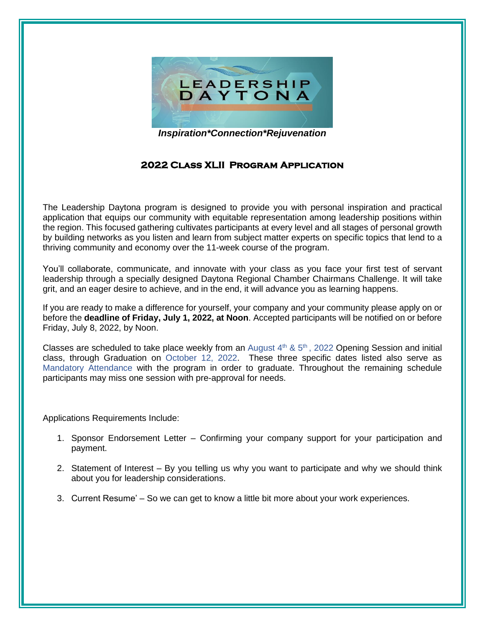

*Inspiration\*Connection\*Rejuvenation*

## **2022 Class XLII Program Application**

The Leadership Daytona program is designed to provide you with personal inspiration and practical application that equips our community with equitable representation among leadership positions within the region. This focused gathering cultivates participants at every level and all stages of personal growth by building networks as you listen and learn from subject matter experts on specific topics that lend to a thriving community and economy over the 11-week course of the program.

You'll collaborate, communicate, and innovate with your class as you face your first test of servant leadership through a specially designed Daytona Regional Chamber Chairmans Challenge. It will take grit, and an eager desire to achieve, and in the end, it will advance you as learning happens.

If you are ready to make a difference for yourself, your company and your community please apply on or before the **deadline of Friday, July 1, 2022, at Noon**. Accepted participants will be notified on or before Friday, July 8, 2022, by Noon.

Classes are scheduled to take place weekly from an August  $4<sup>th</sup>$  &  $5<sup>th</sup>$ , 2022 Opening Session and initial class, through Graduation on October 12, 2022. These three specific dates listed also serve as Mandatory Attendance with the program in order to graduate. Throughout the remaining schedule participants may miss one session with pre-approval for needs.

Applications Requirements Include:

- 1. Sponsor Endorsement Letter Confirming your company support for your participation and payment.
- 2. Statement of Interest By you telling us why you want to participate and why we should think about you for leadership considerations.
- 3. Current Resume' So we can get to know a little bit more about your work experiences.